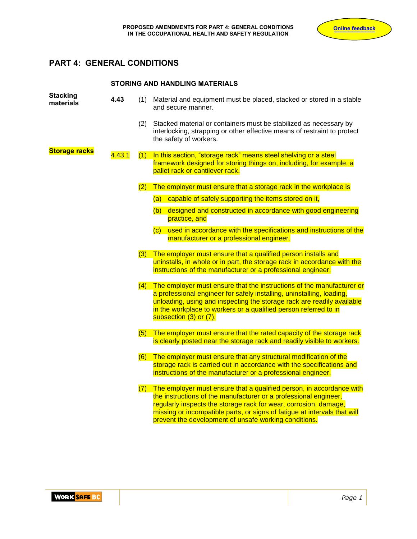# **PART 4: GENERAL CONDITIONS**

#### **STORING AND HANDLING MATERIALS**

| <b>Stacking</b><br>materials | 4.43   | (1) | Material and equipment must be placed, stacked or stored in a stable<br>and secure manner.                                                                                                                                                                                                                                                         |
|------------------------------|--------|-----|----------------------------------------------------------------------------------------------------------------------------------------------------------------------------------------------------------------------------------------------------------------------------------------------------------------------------------------------------|
|                              |        | (2) | Stacked material or containers must be stabilized as necessary by<br>interlocking, strapping or other effective means of restraint to protect<br>the safety of workers.                                                                                                                                                                            |
| <b>Storage racks</b>         | 4.43.1 | (1) | In this section, "storage rack" means steel shelving or a steel<br>framework designed for storing things on, including, for example, a<br>pallet rack or cantilever rack.                                                                                                                                                                          |
|                              |        | (2) | The employer must ensure that a storage rack in the workplace is                                                                                                                                                                                                                                                                                   |
|                              |        |     | (a) capable of safely supporting the items stored on it,                                                                                                                                                                                                                                                                                           |
|                              |        |     | designed and constructed in accordance with good engineering<br>(b)<br>practice, and                                                                                                                                                                                                                                                               |
|                              |        |     | (c) used in accordance with the specifications and instructions of the<br>manufacturer or a professional engineer.                                                                                                                                                                                                                                 |
|                              |        |     | (3) The employer must ensure that a qualified person installs and<br>uninstalls, in whole or in part, the storage rack in accordance with the<br>instructions of the manufacturer or a professional engineer.                                                                                                                                      |
|                              |        |     | (4) The employer must ensure that the instructions of the manufacturer or<br>a professional engineer for safely installing, uninstalling, loading,<br>unloading, using and inspecting the storage rack are readily available<br>in the workplace to workers or a qualified person referred to in<br>subsection (3) or (7).                         |
|                              |        |     | (5) The employer must ensure that the rated capacity of the storage rack<br>is clearly posted near the storage rack and readily visible to workers.                                                                                                                                                                                                |
|                              |        |     | (6) The employer must ensure that any structural modification of the<br>storage rack is carried out in accordance with the specifications and<br>instructions of the manufacturer or a professional engineer.                                                                                                                                      |
|                              |        | (7) | The employer must ensure that a qualified person, in accordance with<br>the instructions of the manufacturer or a professional engineer,<br>regularly inspects the storage rack for wear, corrosion, damage,<br>missing or incompatible parts, or signs of fatigue at intervals that will<br>prevent the development of unsafe working conditions. |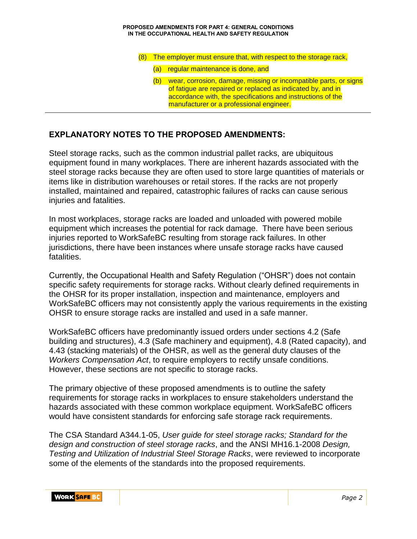#### **PROPOSED AMENDMENTS FOR PART 4: GENERAL CONDITIONS IN THE OCCUPATIONAL HEALTH AND SAFETY REGULATION**

- (8) The employer must ensure that, with respect to the storage rack,
	- (a) regular maintenance is done, and
	- (b) wear, corrosion, damage, missing or incompatible parts, or signs of fatigue are repaired or replaced as indicated by, and in accordance with, the specifications and instructions of the manufacturer or a professional engineer.

#### **EXPLANATORY NOTES TO THE PROPOSED AMENDMENTS:**

Steel storage racks, such as the common industrial pallet racks, are ubiquitous equipment found in many workplaces. There are inherent hazards associated with the steel storage racks because they are often used to store large quantities of materials or items like in distribution warehouses or retail stores. If the racks are not properly installed, maintained and repaired, catastrophic failures of racks can cause serious injuries and fatalities.

In most workplaces, storage racks are loaded and unloaded with powered mobile equipment which increases the potential for rack damage. There have been serious injuries reported to WorkSafeBC resulting from storage rack failures. In other jurisdictions, there have been instances where unsafe storage racks have caused fatalities.

Currently, the Occupational Health and Safety Regulation ("OHSR") does not contain specific safety requirements for storage racks. Without clearly defined requirements in the OHSR for its proper installation, inspection and maintenance, employers and WorkSafeBC officers may not consistently apply the various requirements in the existing OHSR to ensure storage racks are installed and used in a safe manner.

WorkSafeBC officers have predominantly issued orders under sections 4.2 (Safe building and structures), 4.3 (Safe machinery and equipment), 4.8 (Rated capacity), and 4.43 (stacking materials) of the OHSR, as well as the general duty clauses of the *Workers Compensation Act*, to require employers to rectify unsafe conditions. However, these sections are not specific to storage racks.

The primary objective of these proposed amendments is to outline the safety requirements for storage racks in workplaces to ensure stakeholders understand the hazards associated with these common workplace equipment. WorkSafeBC officers would have consistent standards for enforcing safe storage rack requirements.

The CSA Standard A344.1-05, *User guide for steel storage racks; Standard for the design and construction of steel storage racks*, and the ANSI MH16.1-2008 *Design, Testing and Utilization of Industrial Steel Storage Racks*, were reviewed to incorporate some of the elements of the standards into the proposed requirements.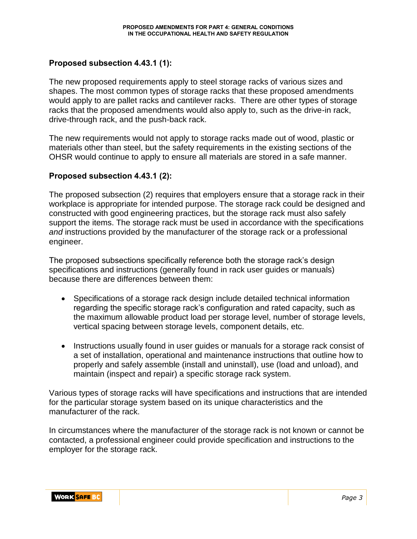### **Proposed subsection 4.43.1 (1):**

The new proposed requirements apply to steel storage racks of various sizes and shapes. The most common types of storage racks that these proposed amendments would apply to are pallet racks and cantilever racks. There are other types of storage racks that the proposed amendments would also apply to, such as the drive-in rack, drive-through rack, and the push-back rack.

The new requirements would not apply to storage racks made out of wood, plastic or materials other than steel, but the safety requirements in the existing sections of the OHSR would continue to apply to ensure all materials are stored in a safe manner.

#### **Proposed subsection 4.43.1 (2):**

The proposed subsection (2) requires that employers ensure that a storage rack in their workplace is appropriate for intended purpose. The storage rack could be designed and constructed with good engineering practices, but the storage rack must also safely support the items. The storage rack must be used in accordance with the specifications *and* instructions provided by the manufacturer of the storage rack or a professional engineer.

The proposed subsections specifically reference both the storage rack's design specifications and instructions (generally found in rack user guides or manuals) because there are differences between them:

- Specifications of a storage rack design include detailed technical information regarding the specific storage rack's configuration and rated capacity, such as the maximum allowable product load per storage level, number of storage levels, vertical spacing between storage levels, component details, etc.
- Instructions usually found in user guides or manuals for a storage rack consist of a set of installation, operational and maintenance instructions that outline how to properly and safely assemble (install and uninstall), use (load and unload), and maintain (inspect and repair) a specific storage rack system.

Various types of storage racks will have specifications and instructions that are intended for the particular storage system based on its unique characteristics and the manufacturer of the rack.

In circumstances where the manufacturer of the storage rack is not known or cannot be contacted, a professional engineer could provide specification and instructions to the employer for the storage rack.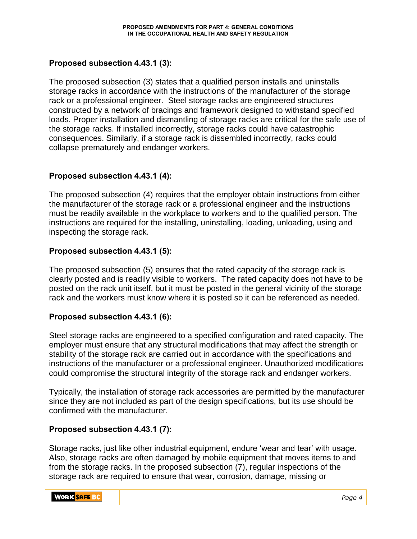## **Proposed subsection 4.43.1 (3):**

The proposed subsection (3) states that a qualified person installs and uninstalls storage racks in accordance with the instructions of the manufacturer of the storage rack or a professional engineer. Steel storage racks are engineered structures constructed by a network of bracings and framework designed to withstand specified loads. Proper installation and dismantling of storage racks are critical for the safe use of the storage racks. If installed incorrectly, storage racks could have catastrophic consequences. Similarly, if a storage rack is dissembled incorrectly, racks could collapse prematurely and endanger workers.

### **Proposed subsection 4.43.1 (4):**

The proposed subsection (4) requires that the employer obtain instructions from either the manufacturer of the storage rack or a professional engineer and the instructions must be readily available in the workplace to workers and to the qualified person. The instructions are required for the installing, uninstalling, loading, unloading, using and inspecting the storage rack.

### **Proposed subsection 4.43.1 (5):**

The proposed subsection (5) ensures that the rated capacity of the storage rack is clearly posted and is readily visible to workers. The rated capacity does not have to be posted on the rack unit itself, but it must be posted in the general vicinity of the storage rack and the workers must know where it is posted so it can be referenced as needed.

#### **Proposed subsection 4.43.1 (6):**

Steel storage racks are engineered to a specified configuration and rated capacity. The employer must ensure that any structural modifications that may affect the strength or stability of the storage rack are carried out in accordance with the specifications and instructions of the manufacturer or a professional engineer. Unauthorized modifications could compromise the structural integrity of the storage rack and endanger workers.

Typically, the installation of storage rack accessories are permitted by the manufacturer since they are not included as part of the design specifications, but its use should be confirmed with the manufacturer.

#### **Proposed subsection 4.43.1 (7):**

Storage racks, just like other industrial equipment, endure 'wear and tear' with usage. Also, storage racks are often damaged by mobile equipment that moves items to and from the storage racks. In the proposed subsection (7), regular inspections of the storage rack are required to ensure that wear, corrosion, damage, missing or